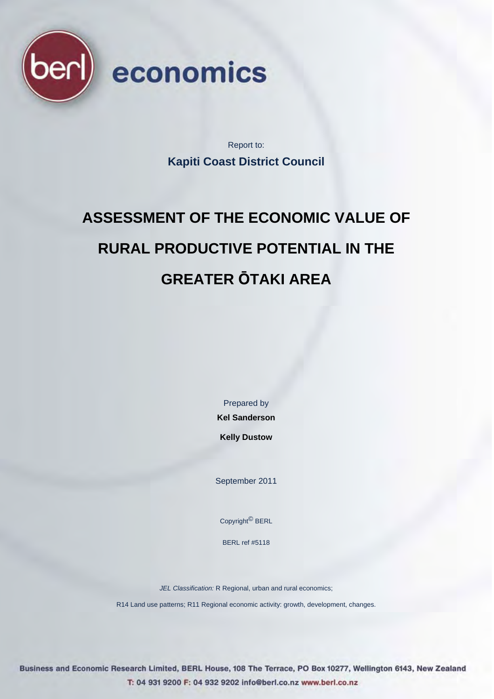

Report to: **Kapiti Coast District Council** 

# **ASSESSMENT OF THE ECONOMIC VALUE OF RURAL PRODUCTIVE POTENTIAL IN THE GREATER ŌTAKI AREA**

Prepared by

**Kel Sanderson** 

**Kelly Dustow** 

September 2011

Copyright© BERL

BERL ref #5118

*JEL Classification:* R Regional, urban and rural economics;

R14 Land use patterns; R11 Regional economic activity: growth, development, changes.

Business and Economic Research Limited, BERL House, 108 The Terrace, PO Box 10277, Wellington 6143, New Zealand T: 04 931 9200 F: 04 932 9202 info@berl.co.nz www.berl.co.nz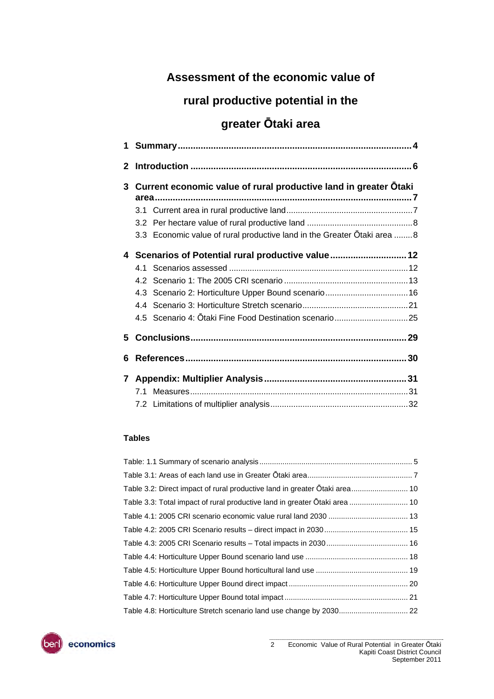### **Assessment of the economic value of**

### **rural productive potential in the**

### **greater Ōtaki area**

| 1            |                                                                         |
|--------------|-------------------------------------------------------------------------|
| $\mathbf{2}$ |                                                                         |
| 3            | Current economic value of rural productive land in greater Otaki        |
|              |                                                                         |
|              |                                                                         |
|              | 3.3 Economic value of rural productive land in the Greater Otaki area 8 |
| 4            | Scenarios of Potential rural productive value 12                        |
|              |                                                                         |
|              |                                                                         |
|              |                                                                         |
|              |                                                                         |
|              | 4.5 Scenario 4: Ōtaki Fine Food Destination scenario25                  |
| 5.           |                                                                         |
| 6            |                                                                         |
| 7            |                                                                         |
|              |                                                                         |
|              |                                                                         |

#### **Tables**

| Table 3.2: Direct impact of rural productive land in greater Otaki area 10 |  |
|----------------------------------------------------------------------------|--|
| Table 3.3: Total impact of rural productive land in greater Otaki area  10 |  |
|                                                                            |  |
|                                                                            |  |
|                                                                            |  |
|                                                                            |  |
|                                                                            |  |
|                                                                            |  |
|                                                                            |  |
| Table 4.8: Horticulture Stretch scenario land use change by 2030 22        |  |

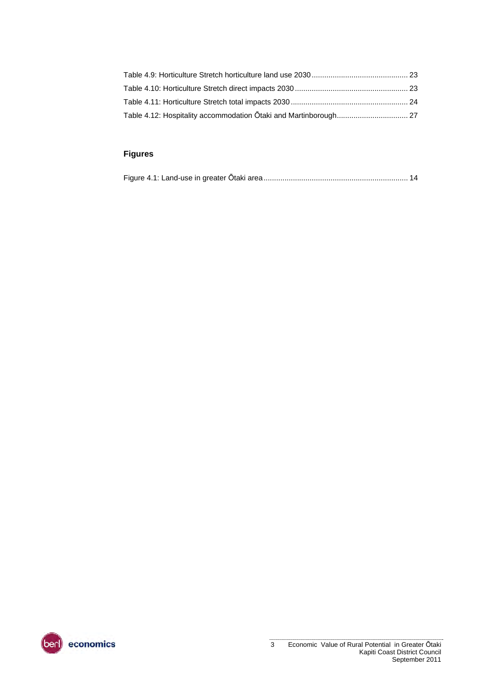#### **Figures**

|--|--|--|

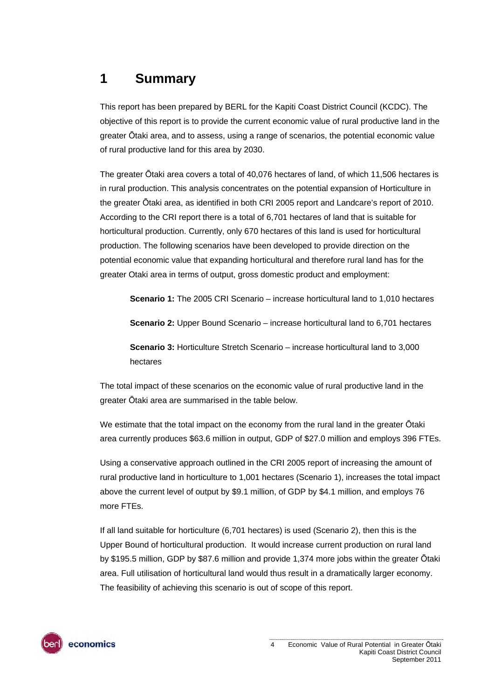### <span id="page-3-0"></span>**1 Summary**

This report has been prepared by BERL for the Kapiti Coast District Council (KCDC). The objective of this report is to provide the current economic value of rural productive land in the greater Ōtaki area, and to assess, using a range of scenarios, the potential economic value of rural productive land for this area by 2030.

The greater Ōtaki area covers a total of 40,076 hectares of land, of which 11,506 hectares is in rural production. This analysis concentrates on the potential expansion of Horticulture in the greater Ōtaki area, as identified in both CRI 2005 report and Landcare's report of 2010. According to the CRI report there is a total of 6,701 hectares of land that is suitable for horticultural production. Currently, only 670 hectares of this land is used for horticultural production. The following scenarios have been developed to provide direction on the potential economic value that expanding horticultural and therefore rural land has for the greater Otaki area in terms of output, gross domestic product and employment:

**Scenario 1:** The 2005 CRI Scenario – increase horticultural land to 1,010 hectares

**Scenario 2:** Upper Bound Scenario – increase horticultural land to 6,701 hectares

**Scenario 3:** Horticulture Stretch Scenario – increase horticultural land to 3,000 hectares

The total impact of these scenarios on the economic value of rural productive land in the greater Ōtaki area are summarised in the table below.

We estimate that the total impact on the economy from the rural land in the greater Ōtaki area currently produces \$63.6 million in output, GDP of \$27.0 million and employs 396 FTEs.

Using a conservative approach outlined in the CRI 2005 report of increasing the amount of rural productive land in horticulture to 1,001 hectares (Scenario 1), increases the total impact above the current level of output by \$9.1 million, of GDP by \$4.1 million, and employs 76 more FTEs.

If all land suitable for horticulture (6,701 hectares) is used (Scenario 2), then this is the Upper Bound of horticultural production. It would increase current production on rural land by \$195.5 million, GDP by \$87.6 million and provide 1,374 more jobs within the greater Ōtaki area. Full utilisation of horticultural land would thus result in a dramatically larger economy. The feasibility of achieving this scenario is out of scope of this report.

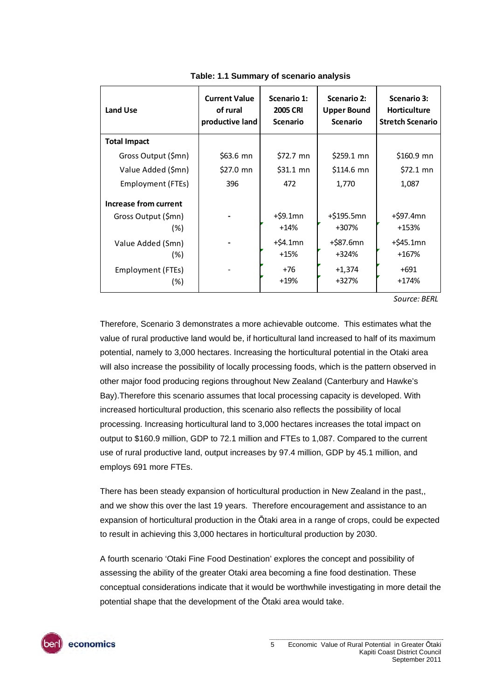<span id="page-4-0"></span>

| <b>Land Use</b>       | <b>Current Value</b><br>of rural<br>productive land | Scenario 1:<br><b>2005 CRI</b><br><b>Scenario</b> | <b>Scenario 2:</b><br><b>Upper Bound</b><br><b>Scenario</b> | <b>Scenario 3:</b><br><b>Horticulture</b><br><b>Stretch Scenario</b> |  |
|-----------------------|-----------------------------------------------------|---------------------------------------------------|-------------------------------------------------------------|----------------------------------------------------------------------|--|
| <b>Total Impact</b>   |                                                     |                                                   |                                                             |                                                                      |  |
| Gross Output (\$mn)   | \$63.6 mn                                           | \$72.7 mn                                         | \$259.1 mn                                                  | \$160.9 mn                                                           |  |
| Value Added (\$mn)    | \$27.0 mn                                           | $$31.1$ mn                                        | $$114.6$ mn                                                 | \$72.1 mn                                                            |  |
| Employment (FTEs)     | 396                                                 | 472                                               | 1,770                                                       | 1,087                                                                |  |
| Increase from current |                                                     |                                                   |                                                             |                                                                      |  |
| Gross Output (\$mn)   |                                                     | $+$ \$9.1mn                                       | $+$ \$195.5mn                                               | +\$97.4mn                                                            |  |
| (%)                   |                                                     | $+14%$                                            | +307%                                                       | +153%                                                                |  |
| Value Added (Smn)     |                                                     | $+$ \$4.1mn                                       | +\$87.6mn                                                   | +\$45.1mn                                                            |  |
| (%)                   |                                                     | $+15%$                                            | +324%                                                       | +167%                                                                |  |
| Employment (FTEs)     |                                                     | +76                                               | +1,374                                                      | $+691$                                                               |  |
| (%)                   |                                                     | $+19%$                                            | +327%                                                       | +174%                                                                |  |

**Table: 1.1 Summary of scenario analysis** 

*Source: BERL*

Therefore, Scenario 3 demonstrates a more achievable outcome. This estimates what the value of rural productive land would be, if horticultural land increased to half of its maximum potential, namely to 3,000 hectares. Increasing the horticultural potential in the Otaki area will also increase the possibility of locally processing foods, which is the pattern observed in other major food producing regions throughout New Zealand (Canterbury and Hawke's Bay).Therefore this scenario assumes that local processing capacity is developed. With increased horticultural production, this scenario also reflects the possibility of local processing. Increasing horticultural land to 3,000 hectares increases the total impact on output to \$160.9 million, GDP to 72.1 million and FTEs to 1,087. Compared to the current use of rural productive land, output increases by 97.4 million, GDP by 45.1 million, and employs 691 more FTEs.

There has been steady expansion of horticultural production in New Zealand in the past,, and we show this over the last 19 years. Therefore encouragement and assistance to an expansion of horticultural production in the Ōtaki area in a range of crops, could be expected to result in achieving this 3,000 hectares in horticultural production by 2030.

A fourth scenario 'Otaki Fine Food Destination' explores the concept and possibility of assessing the ability of the greater Otaki area becoming a fine food destination. These conceptual considerations indicate that it would be worthwhile investigating in more detail the potential shape that the development of the Ōtaki area would take.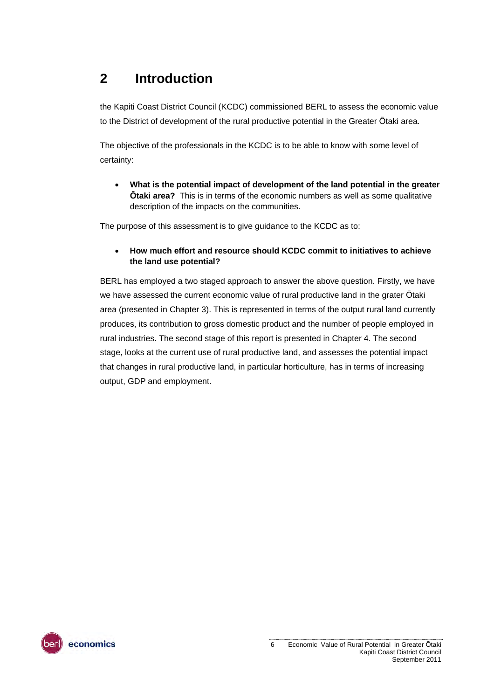### <span id="page-5-0"></span>**2 Introduction**

the Kapiti Coast District Council (KCDC) commissioned BERL to assess the economic value to the District of development of the rural productive potential in the Greater Ōtaki area.

The objective of the professionals in the KCDC is to be able to know with some level of certainty:

 **What is the potential impact of development of the land potential in the greater Ōtaki area?** This is in terms of the economic numbers as well as some qualitative description of the impacts on the communities.

The purpose of this assessment is to give guidance to the KCDC as to:

#### **How much effort and resource should KCDC commit to initiatives to achieve the land use potential?**

BERL has employed a two staged approach to answer the above question. Firstly, we have we have assessed the current economic value of rural productive land in the grater Ōtaki area (presented in Chapter 3). This is represented in terms of the output rural land currently produces, its contribution to gross domestic product and the number of people employed in rural industries. The second stage of this report is presented in Chapter 4. The second stage, looks at the current use of rural productive land, and assesses the potential impact that changes in rural productive land, in particular horticulture, has in terms of increasing output, GDP and employment.

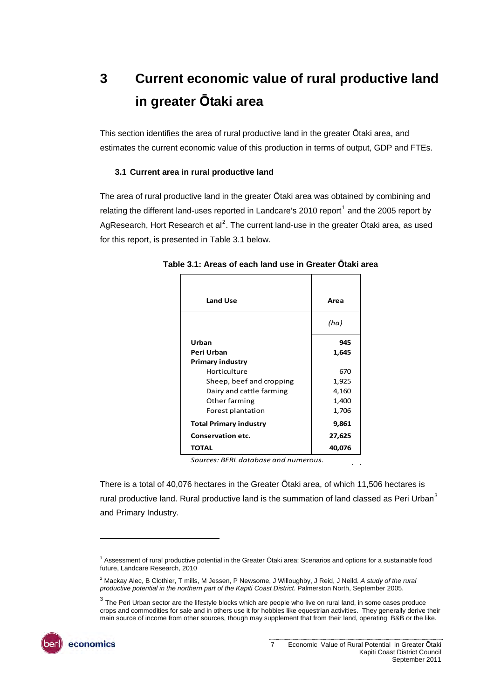## <span id="page-6-0"></span>**3 Current economic value of rural productive land in greater Ōtaki area**

This section identifies the area of rural productive land in the greater Ōtaki area, and estimates the current economic value of this production in terms of output, GDP and FTEs.

#### **3.1 Current area in rural productive land**

<span id="page-6-2"></span><span id="page-6-1"></span>The area of rural productive land in the greater Ōtaki area was obtained by combining and relating the different land-uses reported in Landcare's 20[1](#page-6-3)0 report<sup>1</sup> and the 2005 report by AgResearch, Hort Research et al<sup>[2](#page-6-4)</sup>. The current land-use in the greater Ōtaki area, as used for this report, is presented in [Table 3.1](#page-6-2) below.

| <b>Land Use</b>               | Area   |
|-------------------------------|--------|
|                               | (ha)   |
| Urban                         | 945    |
| Peri Urban                    | 1,645  |
| <b>Primary industry</b>       |        |
| Horticulture                  | 670    |
| Sheep, beef and cropping      | 1,925  |
| Dairy and cattle farming      | 4,160  |
| Other farming                 | 1,400  |
| Forest plantation             | 1,706  |
| <b>Total Primary industry</b> | 9,861  |
| <b>Conservation etc.</b>      | 27,625 |
| ΤΟΤΑL                         | 40,076 |

**Table 3.1: Areas of each land use in Greater Ōtaki area** 

*Sources: BERL database and numerous.*

There is a total of 40,076 hectares in the Greater Ōtaki area, of which 11,506 hectares is rural productive land. Rural productive land is the summation of land classed as Peri Urban<sup>[3](#page-6-5)</sup> and Primary Industry.

<span id="page-6-5"></span><span id="page-6-4"></span><span id="page-6-3"></span> $3$  The Peri Urban sector are the lifestyle blocks which are people who live on rural land, in some cases produce crops and commodities for sale and in others use it for hobbies like equestrian activities. They generally derive their main source of income from other sources, though may supplement that from their land, operating B&B or the like.



l

<sup>&</sup>lt;sup>1</sup> Assessment of rural productive potential in the Greater Ōtaki area: Scenarios and options for a sustainable food future, Landcare Research, 2010

<sup>2</sup> Mackay Alec, B Clothier, T mills, M Jessen, P Newsome, J Willoughby, J Reid, J Neild. *A study of the rural productive potential in the northern part of the Kapiti Coast District*. Palmerston North, September 2005.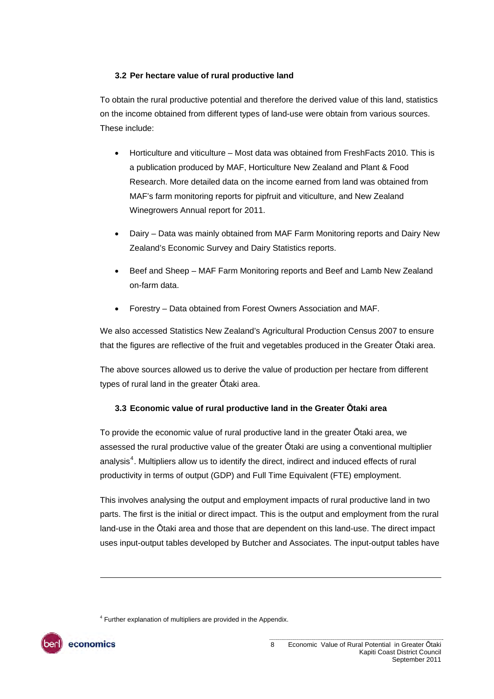#### **3.2 Per hectare value of rural productive land**

<span id="page-7-0"></span>To obtain the rural productive potential and therefore the derived value of this land, statistics on the income obtained from different types of land-use were obtain from various sources. These include:

- Horticulture and viticulture Most data was obtained from FreshFacts 2010. This is a publication produced by MAF, Horticulture New Zealand and Plant & Food Research. More detailed data on the income earned from land was obtained from MAF's farm monitoring reports for pipfruit and viticulture, and New Zealand Winegrowers Annual report for 2011.
- Dairy Data was mainly obtained from MAF Farm Monitoring reports and Dairy New Zealand's Economic Survey and Dairy Statistics reports.
- Beef and Sheep MAF Farm Monitoring reports and Beef and Lamb New Zealand on-farm data.
- Forestry Data obtained from Forest Owners Association and MAF.

We also accessed Statistics New Zealand's Agricultural Production Census 2007 to ensure that the figures are reflective of the fruit and vegetables produced in the Greater Ōtaki area.

The above sources allowed us to derive the value of production per hectare from different types of rural land in the greater Ōtaki area.

#### **3.3 Economic value of rural productive land in the Greater Ōtaki area**

<span id="page-7-1"></span>To provide the economic value of rural productive land in the greater Ōtaki area, we assessed the rural productive value of the greater Ōtaki are using a conventional multiplier analysis<sup>[4](#page-7-2)</sup>. Multipliers allow us to identify the direct, indirect and induced effects of rural productivity in terms of output (GDP) and Full Time Equivalent (FTE) employment.

This involves analysing the output and employment impacts of rural productive land in two parts. The first is the initial or direct impact. This is the output and employment from the rural land-use in the Ōtaki area and those that are dependent on this land-use. The direct impact uses input-output tables developed by Butcher and Associates. The input-output tables have

<sup>4</sup> Further explanation of multipliers are provided in the Appendix.

<span id="page-7-2"></span>

l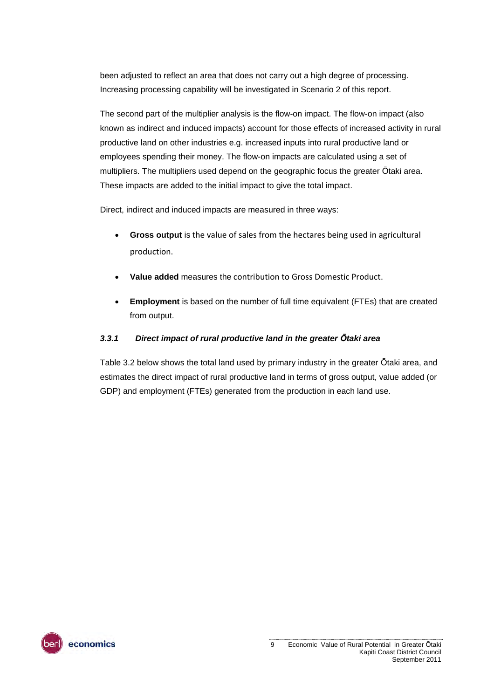been adjusted to reflect an area that does not carry out a high degree of processing. Increasing processing capability will be investigated in Scenario 2 of this report.

The second part of the multiplier analysis is the flow-on impact. The flow-on impact (also known as indirect and induced impacts) account for those effects of increased activity in rural productive land on other industries e.g. increased inputs into rural productive land or employees spending their money. The flow-on impacts are calculated using a set of multipliers. The multipliers used depend on the geographic focus the greater Ōtaki area. These impacts are added to the initial impact to give the total impact.

Direct, indirect and induced impacts are measured in three ways:

- **Gross output** is the value of sales from the hectares being used in agricultural production.
- **Value added** measures the contribution to Gross Domestic Product.
- **Employment** is based on the number of full time equivalent (FTEs) that are created from output.

#### *3.3.1 Direct impact of rural productive land in the greater Ōtaki area*

Table 3.2 below shows the total land used by primary industry in the greater Ōtaki area, and estimates the direct impact of rural productive land in terms of gross output, value added (or GDP) and employment (FTEs) generated from the production in each land use.

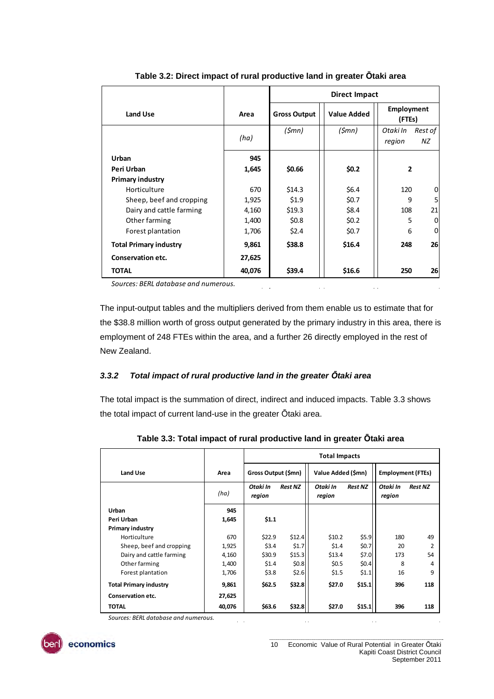<span id="page-9-0"></span>

|                               |        | <b>Direct Impact</b> |                    |                             |               |  |  |
|-------------------------------|--------|----------------------|--------------------|-----------------------------|---------------|--|--|
| Land Use                      | Area   | <b>Gross Output</b>  | <b>Value Added</b> | <b>Employment</b><br>(FTEs) |               |  |  |
|                               | (ha)   | (\$mn)               | (\$mn)             | Otaki In<br>region          | Rest of<br>ΝZ |  |  |
| Urban                         | 945    |                      |                    |                             |               |  |  |
| Peri Urban                    | 1,645  | \$0.66               | \$0.2\$            | $\overline{2}$              |               |  |  |
| <b>Primary industry</b>       |        |                      |                    |                             |               |  |  |
| Horticulture                  | 670    | \$14.3               | \$6.4\$            | 120                         | 0             |  |  |
| Sheep, beef and cropping      | 1,925  | \$1.9                | \$0.7              | 9                           | 5             |  |  |
| Dairy and cattle farming      | 4,160  | \$19.3               | \$8.4              | 108                         | 21            |  |  |
| Other farming                 | 1,400  | \$0.8\$              | \$0.2\$            | 5                           | 0             |  |  |
| Forest plantation             | 1,706  | \$2.4                | \$0.7              | 6                           | $\mathbf 0$   |  |  |
| <b>Total Primary industry</b> | 9,861  | \$38.8               | \$16.4             | 248                         | 26            |  |  |
| Conservation etc.             | 27,625 |                      |                    |                             |               |  |  |
| <b>TOTAL</b>                  | 40,076 | \$39.4               | \$16.6             | 250                         | 26            |  |  |

**Table 3.2: Direct impact of rural productive land in greater Ōtaki area** 

*Sources: BERL database and numerous.*

The input-output tables and the multipliers derived from them enable us to estimate that for the \$38.8 million worth of gross output generated by the primary industry in this area, there is employment of 248 FTEs within the area, and a further 26 directly employed in the rest of New Zealand.

 $\mathbb{R}^2$ 

 $\hat{L}$ 

 $\sim$   $\sim$ 

#### *3.3.2 Total impact of rural productive land in the greater Ōtaki area*

The total impact is the summation of direct, indirect and induced impacts. [Table 3.3](#page-9-1) shows the total impact of current land-use in the greater Ōtaki area.

<span id="page-9-1"></span>

|                               |        | <b>Total Impacts</b> |                |                    |                |                          |                |  |
|-------------------------------|--------|----------------------|----------------|--------------------|----------------|--------------------------|----------------|--|
| Land Use                      | Area   | Gross Output (\$mn)  |                | Value Added (\$mn) |                | <b>Employment (FTEs)</b> |                |  |
|                               | (ha)   | Otaki In<br>region   | <b>Rest NZ</b> | Otaki In<br>region | <b>Rest NZ</b> | Otaki In<br>region       | <b>Rest NZ</b> |  |
| Urban                         | 945    |                      |                |                    |                |                          |                |  |
| Peri Urban                    | 1,645  | \$1.1                |                |                    |                |                          |                |  |
| <b>Primary industry</b>       |        |                      |                |                    |                |                          |                |  |
| Horticulture                  | 670    | \$22.9               | \$12.4         | \$10.2             | \$5.9          | 180                      | 49             |  |
| Sheep, beef and cropping      | 1,925  | \$3.4                | \$1.7          | \$1.4              | \$0.7          | 20                       | 2              |  |
| Dairy and cattle farming      | 4,160  | \$30.9               | \$15.3         | \$13.4             | \$7.0          | 173                      | 54             |  |
| Other farming                 | 1,400  | \$1.4                | \$0.8          | \$0.5              | \$0.4          | 8                        | 4              |  |
| Forest plantation             | 1,706  | \$3.8                | \$2.6          | \$1.5              | \$1.1          | 16                       | 9              |  |
| <b>Total Primary industry</b> | 9,861  | \$62.5               | \$32.8         | \$27.0             | \$15.1         | 396                      | 118            |  |
| Conservation etc.             | 27,625 |                      |                |                    |                |                          |                |  |
| <b>TOTAL</b>                  | 40,076 | \$63.6               | \$32.8         | \$27.0             | \$15.1         | 396                      | 118            |  |

 $\sim$ 

 $\mathcal{L}^{\text{max}}$ 

**Table 3.3: Total impact of rural productive land in greater Ōtaki area** 

*Sources: BERL database and numerous.*



 $\hat{\mathcal{L}}$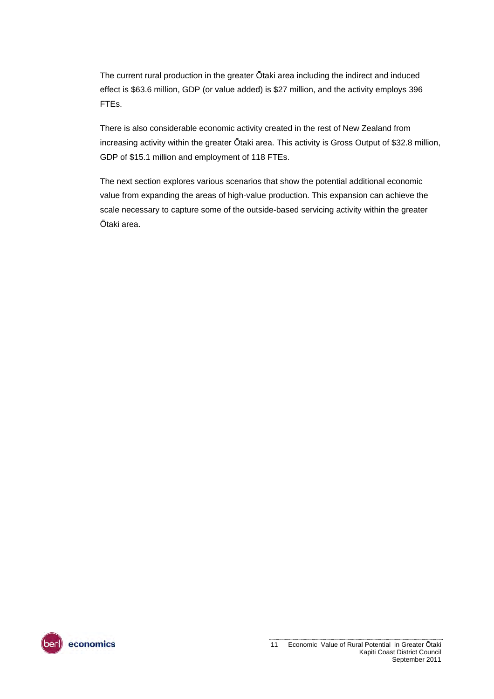The current rural production in the greater Ōtaki area including the indirect and induced effect is \$63.6 million, GDP (or value added) is \$27 million, and the activity employs 396 FTEs.

There is also considerable economic activity created in the rest of New Zealand from increasing activity within the greater Ōtaki area. This activity is Gross Output of \$32.8 million, GDP of \$15.1 million and employment of 118 FTEs.

The next section explores various scenarios that show the potential additional economic value from expanding the areas of high-value production. This expansion can achieve the scale necessary to capture some of the outside-based servicing activity within the greater Ōtaki area.

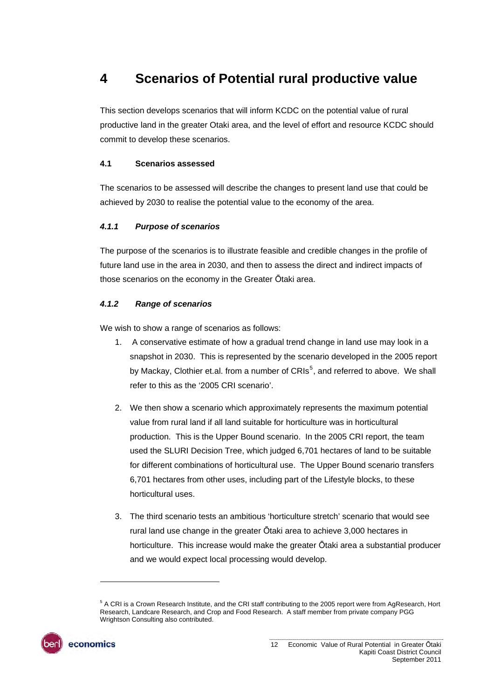### <span id="page-11-0"></span>**4 Scenarios of Potential rural productive value**

This section develops scenarios that will inform KCDC on the potential value of rural productive land in the greater Otaki area, and the level of effort and resource KCDC should commit to develop these scenarios.

#### <span id="page-11-1"></span>**4.1 Scenarios assessed**

The scenarios to be assessed will describe the changes to present land use that could be achieved by 2030 to realise the potential value to the economy of the area.

#### *4.1.1 Purpose of scenarios*

The purpose of the scenarios is to illustrate feasible and credible changes in the profile of future land use in the area in 2030, and then to assess the direct and indirect impacts of those scenarios on the economy in the Greater Ōtaki area.

#### *4.1.2 Range of scenarios*

We wish to show a range of scenarios as follows:

- 1. A conservative estimate of how a gradual trend change in land use may look in a snapshot in 2030. This is represented by the scenario developed in the 2005 report by Mackay, Clothier et.al. from a number of CRIs<sup>[5](#page-11-2)</sup>, and referred to above. We shall refer to this as the '2005 CRI scenario'.
- 2. We then show a scenario which approximately represents the maximum potential value from rural land if all land suitable for horticulture was in horticultural production. This is the Upper Bound scenario. In the 2005 CRI report, the team used the SLURI Decision Tree, which judged 6,701 hectares of land to be suitable for different combinations of horticultural use. The Upper Bound scenario transfers 6,701 hectares from other uses, including part of the Lifestyle blocks, to these horticultural uses.
- 3. The third scenario tests an ambitious 'horticulture stretch' scenario that would see rural land use change in the greater Ōtaki area to achieve 3,000 hectares in horticulture. This increase would make the greater Ōtaki area a substantial producer and we would expect local processing would develop.

<span id="page-11-2"></span><sup>&</sup>lt;sup>5</sup> A CRI is a Crown Research Institute, and the CRI staff contributing to the 2005 report were from AgResearch, Hort Research, Landcare Research, and Crop and Food Research. A staff member from private company PGG Wrightson Consulting also contributed.



l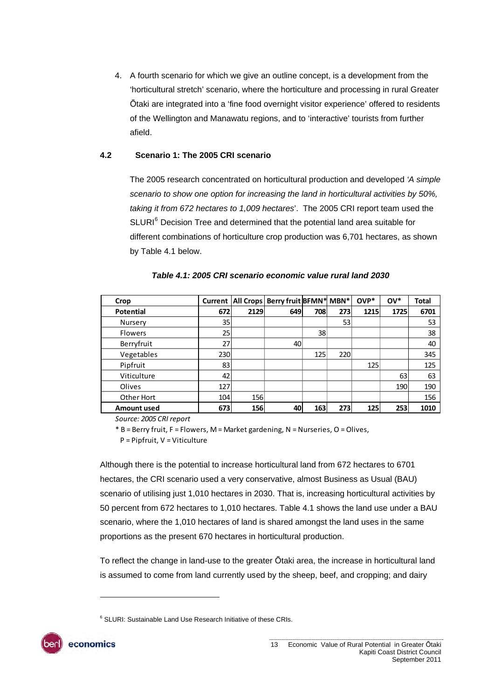4. A fourth scenario for which we give an outline concept, is a development from the 'horticultural stretch' scenario, where the horticulture and processing in rural Greater Ōtaki are integrated into a 'fine food overnight visitor experience' offered to residents of the Wellington and Manawatu regions, and to 'interactive' tourists from further afield.

#### <span id="page-12-0"></span>**4.2 Scenario 1: The 2005 CRI scenario**

The 2005 research concentrated on horticultural production and developed *'A simple scenario to show one option for increasing the land in horticultural activities by 50%, taking it from 672 hectares to 1,009 hectares*'. The 2005 CRI report team used the SLURI<sup>[6](#page-12-2)</sup> Decision Tree and determined that the potential land area suitable for different combinations of horticulture crop production was 6,701 hectares, as shown by [Table 4.1](#page-12-1) below.

<span id="page-12-1"></span>

| Crop               | Current         |      | All Crops Berry fruit BFMN* MBN* |     |            | $OVP^*$ | $OV^*$ | <b>Total</b> |
|--------------------|-----------------|------|----------------------------------|-----|------------|---------|--------|--------------|
| Potential          | 672             | 2129 | 649                              | 708 | 273        | 1215    | 1725   | 6701         |
| Nursery            | 35              |      |                                  |     | 53         |         |        | 53           |
| <b>Flowers</b>     | 25 <sub>l</sub> |      |                                  | 38  |            |         |        | 38           |
| Berryfruit         | 27              |      | 40                               |     |            |         |        | 40           |
| Vegetables         | 230             |      |                                  | 125 | 220        |         |        | 345          |
| Pipfruit           | 83              |      |                                  |     |            | 125     |        | 125          |
| Viticulture        | 42              |      |                                  |     |            |         | 63     | 63           |
| Olives             | 127             |      |                                  |     |            |         | 190    | 190          |
| Other Hort         | 104             | 156  |                                  |     |            |         |        | 156          |
| <b>Amount used</b> | 673             | 156  | 40                               | 163 | <b>273</b> | 125     | 253    | 1010         |

|  | Table 4.1: 2005 CRI scenario economic value rural land 2030 |  |  |  |
|--|-------------------------------------------------------------|--|--|--|
|  |                                                             |  |  |  |

*Source: 2005 CRI report*

\* B = Berry fruit, F = Flowers, M = Market gardening, N = Nurseries, O = Olives,

P = Pipfruit, V = Viticulture

Although there is the potential to increase horticultural land from 672 hectares to 6701 hectares, the CRI scenario used a very conservative, almost Business as Usual (BAU) scenario of utilising just 1,010 hectares in 2030. That is, increasing horticultural activities by 50 percent from 672 hectares to 1,010 hectares. [Table 4.1](#page-12-1) shows the land use under a BAU scenario, where the 1,010 hectares of land is shared amongst the land uses in the same proportions as the present 670 hectares in horticultural production.

To reflect the change in land-use to the greater Ōtaki area, the increase in horticultural land is assumed to come from land currently used by the sheep, beef, and cropping; and dairy

<span id="page-12-2"></span><sup>&</sup>lt;sup>6</sup> SLURI: Sustainable Land Use Research Initiative of these CRIs.



l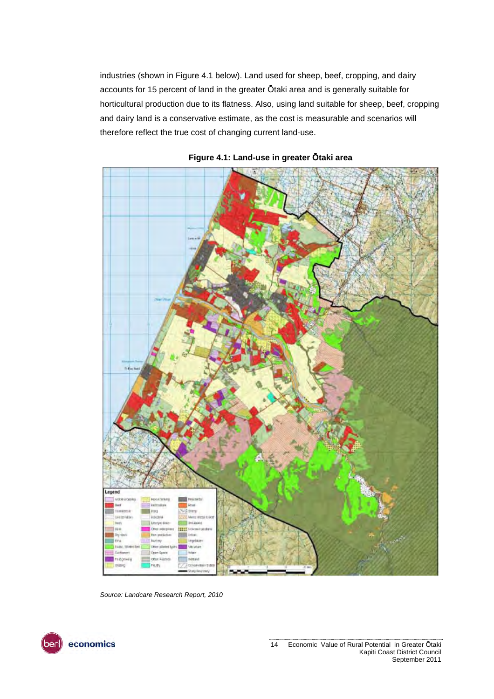industries (shown in [Figure 4.1](#page-13-0) below). Land used for sheep, beef, cropping, and dairy accounts for 15 percent of land in the greater Ōtaki area and is generally suitable for horticultural production due to its flatness. Also, using land suitable for sheep, beef, cropping and dairy land is a conservative estimate, as the cost is measurable and scenarios will therefore reflect the true cost of changing current land-use.

<span id="page-13-0"></span>



*Source: Landcare Research Report, 2010* 

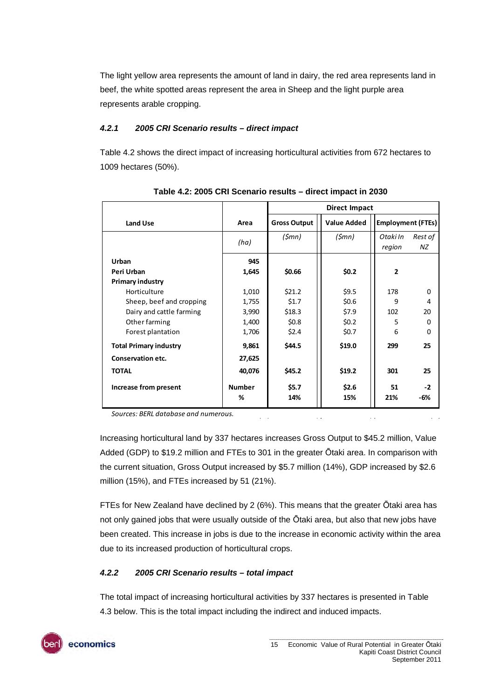The light yellow area represents the amount of land in dairy, the red area represents land in beef, the white spotted areas represent the area in Sheep and the light purple area represents arable cropping.

#### *4.2.1 2005 CRI Scenario results – direct impact*

[Table 4.2](#page-14-0) shows the direct impact of increasing horticultural activities from 672 hectares to 1009 hectares (50%).

<span id="page-14-0"></span>

|                               |               | <b>Direct Impact</b> |                    |                    |                          |  |
|-------------------------------|---------------|----------------------|--------------------|--------------------|--------------------------|--|
| Land Use                      | Area          | <b>Gross Output</b>  | <b>Value Added</b> |                    | <b>Employment (FTEs)</b> |  |
|                               | (ha)          | (\$mn)               | (5mn)              | Otaki In<br>region | Rest of<br><b>NZ</b>     |  |
| Urban                         | 945           |                      |                    |                    |                          |  |
| Peri Urban                    | 1,645         | \$0.66               | \$0.2\$            | $\overline{2}$     |                          |  |
| <b>Primary industry</b>       |               |                      |                    |                    |                          |  |
| Horticulture                  | 1,010         | \$21.2\$             | \$9.5              | 178                | $\Omega$                 |  |
| Sheep, beef and cropping      | 1,755         | \$1.7                | \$0.6\$            | 9                  | 4                        |  |
| Dairy and cattle farming      | 3,990         | \$18.3               | \$7.9              | 102                | 20                       |  |
| Other farming                 | 1,400         | \$0.8\$              | \$0.2\$            | 5                  | $\Omega$                 |  |
| Forest plantation             | 1,706         | \$2.4\$              | \$0.7              | 6                  | $\Omega$                 |  |
| <b>Total Primary industry</b> | 9,861         | \$44.5               | \$19.0             | 299                | 25                       |  |
| <b>Conservation etc.</b>      | 27,625        |                      |                    |                    |                          |  |
| <b>TOTAL</b>                  | 40,076        | \$45.2               | \$19.2\$           | 301                | 25                       |  |
| Increase from present         | <b>Number</b> | \$5.7                | \$2.6              | 51                 | $-2$                     |  |
|                               | %             | 14%                  | 15%                | 21%                | -6%                      |  |

**Table 4.2: 2005 CRI Scenario results – direct impact in 2030** 

*Sources: BERL database and numerous.*

Increasing horticultural land by 337 hectares increases Gross Output to \$45.2 million, Value Added (GDP) to \$19.2 million and FTEs to 301 in the greater Ōtaki area. In comparison with the current situation, Gross Output increased by \$5.7 million (14%), GDP increased by \$2.6 million (15%), and FTEs increased by 51 (21%).

FTEs for New Zealand have declined by 2 (6%). This means that the greater Ōtaki area has not only gained jobs that were usually outside of the Ōtaki area, but also that new jobs have been created. This increase in jobs is due to the increase in economic activity within the area due to its increased production of horticultural crops.

#### *4.2.2 2005 CRI Scenario results – total impact*

The total impact of increasing horticultural activities by 337 hectares is presented in [Table](#page-15-1)  [4.3](#page-15-1) below. This is the total impact including the indirect and induced impacts.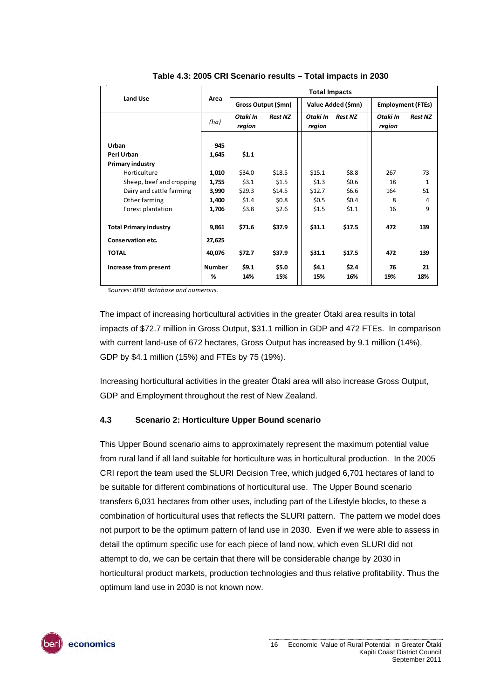<span id="page-15-1"></span>

|                               |                    | <b>Total Impacts</b> |                |                    |                    |                    |                          |  |
|-------------------------------|--------------------|----------------------|----------------|--------------------|--------------------|--------------------|--------------------------|--|
| Land Use                      | Area               | Gross Output (\$mn)  |                |                    | Value Added (\$mn) |                    | <b>Employment (FTEs)</b> |  |
|                               | (ha)               | Otaki In<br>region   | <b>Rest NZ</b> | Otaki In<br>region | <b>Rest NZ</b>     | Otaki In<br>region | <b>Rest NZ</b>           |  |
| Urban                         | 945                |                      |                |                    |                    |                    |                          |  |
| Peri Urban                    | 1,645              | \$1.1                |                |                    |                    |                    |                          |  |
| Primary industry              |                    |                      |                |                    |                    |                    |                          |  |
| Horticulture                  | 1,010              | \$34.0               | \$18.5         | \$15.1             | \$8.8              | 267                | 73                       |  |
| Sheep, beef and cropping      | 1,755              | \$3.1                | \$1.5          | \$1.3              | \$0.6              | 18                 | $\mathbf{1}$             |  |
| Dairy and cattle farming      | 3,990              | \$29.3               | \$14.5         | \$12.7             | \$6.6              | 164                | 51                       |  |
| Other farming                 | 1,400              | \$1.4                | \$0.8\$        | \$0.5              | \$0.4\$            | 8                  | 4                        |  |
| Forest plantation             | 1,706              | \$3.8                | \$2.6          | \$1.5              | \$1.1              | 16                 | 9                        |  |
| <b>Total Primary industry</b> | 9,861              | \$71.6               | \$37.9         | \$31.1             | \$17.5             | 472                | 139                      |  |
| <b>Conservation etc.</b>      | 27,625             |                      |                |                    |                    |                    |                          |  |
| <b>TOTAL</b>                  | 40,076             | \$72.7               | \$37.9         | \$31.1             | \$17.5             | 472                | 139                      |  |
| Increase from present         | <b>Number</b><br>% | \$9.1<br>14%         | \$5.0<br>15%   | \$4.1<br>15%       | \$2.4<br>16%       | 76<br>19%          | 21<br>18%                |  |

**Table 4.3: 2005 CRI Scenario results – Total impacts in 2030** 

*Sources: BERL database and numerous.*

The impact of increasing horticultural activities in the greater Ōtaki area results in total impacts of \$72.7 million in Gross Output, \$31.1 million in GDP and 472 FTEs. In comparison with current land-use of 672 hectares, Gross Output has increased by 9.1 million (14%), GDP by \$4.1 million (15%) and FTEs by 75 (19%).

Increasing horticultural activities in the greater Ōtaki area will also increase Gross Output, GDP and Employment throughout the rest of New Zealand.

#### <span id="page-15-0"></span>**4.3 Scenario 2: Horticulture Upper Bound scenario**

This Upper Bound scenario aims to approximately represent the maximum potential value from rural land if all land suitable for horticulture was in horticultural production. In the 2005 CRI report the team used the SLURI Decision Tree, which judged 6,701 hectares of land to be suitable for different combinations of horticultural use. The Upper Bound scenario transfers 6,031 hectares from other uses, including part of the Lifestyle blocks, to these a combination of horticultural uses that reflects the SLURI pattern. The pattern we model does not purport to be the optimum pattern of land use in 2030. Even if we were able to assess in detail the optimum specific use for each piece of land now, which even SLURI did not attempt to do, we can be certain that there will be considerable change by 2030 in horticultural product markets, production technologies and thus relative profitability. Thus the optimum land use in 2030 is not known now.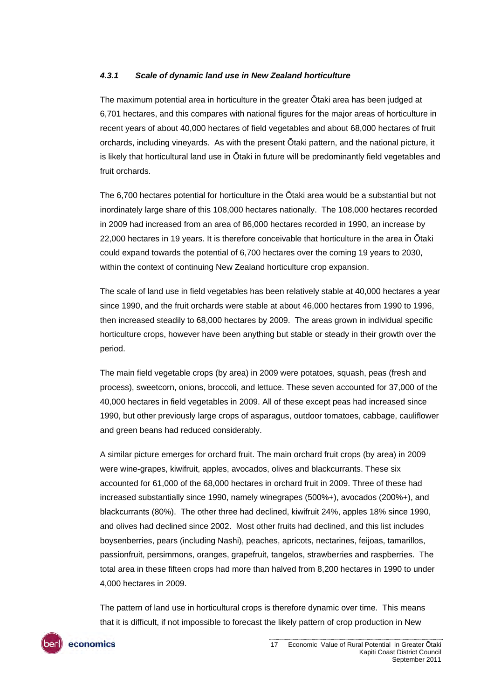#### *4.3.1 Scale of dynamic land use in New Zealand horticulture*

The maximum potential area in horticulture in the greater Ōtaki area has been judged at 6,701 hectares, and this compares with national figures for the major areas of horticulture in recent years of about 40,000 hectares of field vegetables and about 68,000 hectares of fruit orchards, including vineyards. As with the present Ōtaki pattern, and the national picture, it is likely that horticultural land use in Ōtaki in future will be predominantly field vegetables and fruit orchards.

The 6,700 hectares potential for horticulture in the Ōtaki area would be a substantial but not inordinately large share of this 108,000 hectares nationally. The 108,000 hectares recorded in 2009 had increased from an area of 86,000 hectares recorded in 1990, an increase by 22,000 hectares in 19 years. It is therefore conceivable that horticulture in the area in Ōtaki could expand towards the potential of 6,700 hectares over the coming 19 years to 2030, within the context of continuing New Zealand horticulture crop expansion.

The scale of land use in field vegetables has been relatively stable at 40,000 hectares a year since 1990, and the fruit orchards were stable at about 46,000 hectares from 1990 to 1996, then increased steadily to 68,000 hectares by 2009. The areas grown in individual specific horticulture crops, however have been anything but stable or steady in their growth over the period.

The main field vegetable crops (by area) in 2009 were potatoes, squash, peas (fresh and process), sweetcorn, onions, broccoli, and lettuce. These seven accounted for 37,000 of the 40,000 hectares in field vegetables in 2009. All of these except peas had increased since 1990, but other previously large crops of asparagus, outdoor tomatoes, cabbage, cauliflower and green beans had reduced considerably.

A similar picture emerges for orchard fruit. The main orchard fruit crops (by area) in 2009 were wine-grapes, kiwifruit, apples, avocados, olives and blackcurrants. These six accounted for 61,000 of the 68,000 hectares in orchard fruit in 2009. Three of these had increased substantially since 1990, namely winegrapes (500%+), avocados (200%+), and blackcurrants (80%). The other three had declined, kiwifruit 24%, apples 18% since 1990, and olives had declined since 2002. Most other fruits had declined, and this list includes boysenberries, pears (including Nashi), peaches, apricots, nectarines, feijoas, tamarillos, passionfruit, persimmons, oranges, grapefruit, tangelos, strawberries and raspberries. The total area in these fifteen crops had more than halved from 8,200 hectares in 1990 to under 4,000 hectares in 2009.

The pattern of land use in horticultural crops is therefore dynamic over time. This means that it is difficult, if not impossible to forecast the likely pattern of crop production in New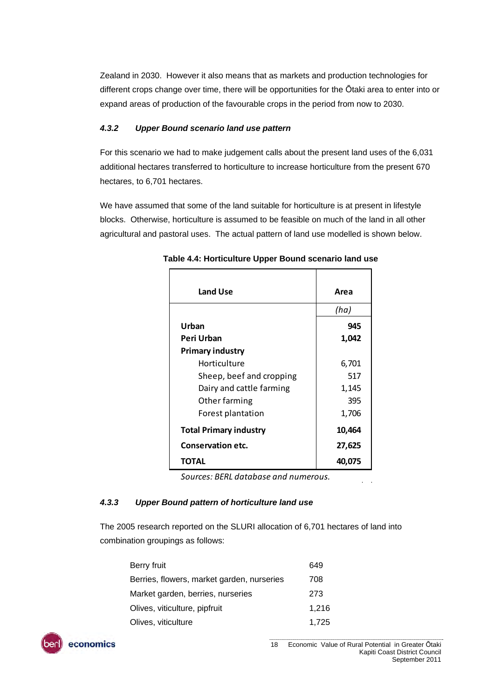Zealand in 2030. However it also means that as markets and production technologies for different crops change over time, there will be opportunities for the Ōtaki area to enter into or expand areas of production of the favourable crops in the period from now to 2030.

#### *4.3.2 Upper Bound scenario land use pattern*

For this scenario we had to make judgement calls about the present land uses of the 6,031 additional hectares transferred to horticulture to increase horticulture from the present 670 hectares, to 6,701 hectares.

<span id="page-17-0"></span>We have assumed that some of the land suitable for horticulture is at present in lifestyle blocks. Otherwise, horticulture is assumed to be feasible on much of the land in all other agricultural and pastoral uses. The actual pattern of land use modelled is shown below.

| <b>Land Use</b>               | Area   |
|-------------------------------|--------|
|                               | (ha)   |
| Urban                         | 945    |
| Peri Urban                    | 1,042  |
| <b>Primary industry</b>       |        |
| Horticulture                  | 6,701  |
| Sheep, beef and cropping      | 517    |
| Dairy and cattle farming      | 1,145  |
| Other farming                 | 395    |
| Forest plantation             | 1,706  |
| <b>Total Primary industry</b> | 10,464 |
| <b>Conservation etc.</b>      | 27,625 |
| TOTAL                         | 40,075 |

**Table 4.4: Horticulture Upper Bound scenario land use** 

*Sources: BERL database and numerous.*

#### *4.3.3 Upper Bound pattern of horticulture land use*

The 2005 research reported on the SLURI allocation of 6,701 hectares of land into combination groupings as follows:

| Berry fruit                                | 649   |
|--------------------------------------------|-------|
| Berries, flowers, market garden, nurseries | 708   |
| Market garden, berries, nurseries          | 273   |
| Olives, viticulture, pipfruit              | 1.216 |
| Olives, viticulture                        | 1,725 |
|                                            |       |

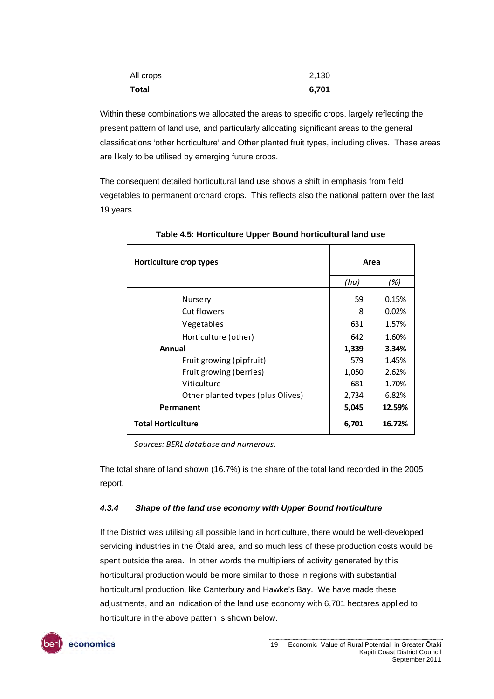| All crops | 2,130 |
|-----------|-------|
| Total     | 6,701 |

Within these combinations we allocated the areas to specific crops, largely reflecting the present pattern of land use, and particularly allocating significant areas to the general classifications 'other horticulture' and Other planted fruit types, including olives. These areas are likely to be utilised by emerging future crops.

<span id="page-18-0"></span>The consequent detailed horticultural land use shows a shift in emphasis from field vegetables to permanent orchard crops. This reflects also the national pattern over the last 19 years.

| Horticulture crop types           | Area  |        |
|-----------------------------------|-------|--------|
|                                   | (ha)  | (%)    |
| Nursery                           | 59    | 0.15%  |
| Cut flowers                       | 8     | 0.02%  |
| Vegetables                        | 631   | 1.57%  |
| Horticulture (other)              | 642   | 1.60%  |
| Annual                            | 1,339 | 3.34%  |
| Fruit growing (pipfruit)          | 579   | 1.45%  |
| Fruit growing (berries)           | 1,050 | 2.62%  |
| Viticulture                       | 681   | 1.70%  |
| Other planted types (plus Olives) | 2,734 | 6.82%  |
| Permanent                         | 5,045 | 12.59% |
| <b>Total Horticulture</b>         | 6,701 | 16.72% |

**Table 4.5: Horticulture Upper Bound horticultural land use** 

*Sources: BERL database and numerous.*

The total share of land shown (16.7%) is the share of the total land recorded in the 2005 report.

#### *4.3.4 Shape of the land use economy with Upper Bound horticulture*

If the District was utilising all possible land in horticulture, there would be well-developed servicing industries in the Ōtaki area, and so much less of these production costs would be spent outside the area. In other words the multipliers of activity generated by this horticultural production would be more similar to those in regions with substantial horticultural production, like Canterbury and Hawke's Bay. We have made these adjustments, and an indication of the land use economy with 6,701 hectares applied to horticulture in the above pattern is shown below.

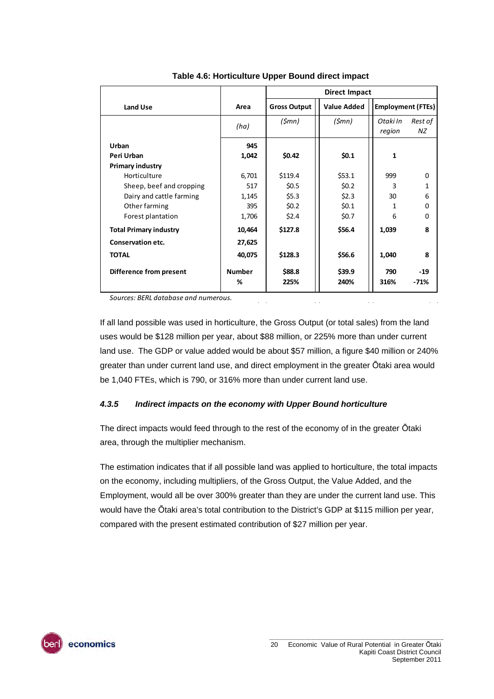<span id="page-19-0"></span>

|                               |               | <b>Direct Impact</b> |                    |                          |               |
|-------------------------------|---------------|----------------------|--------------------|--------------------------|---------------|
| Land Use                      | Area          | <b>Gross Output</b>  | <b>Value Added</b> | <b>Employment (FTEs)</b> |               |
|                               | (ha)          | (\$mn)               | (\$mn)             | Otaki In<br>region       | Rest of<br>ΝZ |
| Urban                         | 945           |                      |                    |                          |               |
| Peri Urban                    | 1,042         | \$0.42               | \$0.1              | 1                        |               |
| <b>Primary industry</b>       |               |                      |                    |                          |               |
| Horticulture                  | 6,701         | \$119.4              | \$53.1             | 999                      | $\Omega$      |
| Sheep, beef and cropping      | 517           | \$0.5                | \$0.2\$            | 3                        | 1             |
| Dairy and cattle farming      | 1,145         | \$5.3\$              | \$2.3              | 30                       | 6             |
| Other farming                 | 395           | \$0.2\$              | \$0.1              | 1                        | 0             |
| Forest plantation             | 1,706         | \$2.4\$              | \$0.7              | 6                        | 0             |
| <b>Total Primary industry</b> | 10,464        | \$127.8              | \$56.4             | 1,039                    | 8             |
| <b>Conservation etc.</b>      | 27,625        |                      |                    |                          |               |
| <b>TOTAL</b>                  | 40,075        | \$128.3              | \$56.6             | 1,040                    | 8             |
| Difference from present       | <b>Number</b> | \$88.8               | \$39.9             | 790                      | $-19$         |
|                               | %             | 225%                 | 240%               | 316%                     | $-71%$        |

**Table 4.6: Horticulture Upper Bound direct impact** 

*Sources: BERL database and numerous.*

If all land possible was used in horticulture, the Gross Output (or total sales) from the land uses would be \$128 million per year, about \$88 million, or 225% more than under current land use. The GDP or value added would be about \$57 million, a figure \$40 million or 240% greater than under current land use, and direct employment in the greater Ōtaki area would be 1,040 FTEs, which is 790, or 316% more than under current land use.

#### *4.3.5 Indirect impacts on the economy with Upper Bound horticulture*

The direct impacts would feed through to the rest of the economy of in the greater Ōtaki area, through the multiplier mechanism.

The estimation indicates that if all possible land was applied to horticulture, the total impacts on the economy, including multipliers, of the Gross Output, the Value Added, and the Employment, would all be over 300% greater than they are under the current land use. This would have the Ōtaki area's total contribution to the District's GDP at \$115 million per year, compared with the present estimated contribution of \$27 million per year.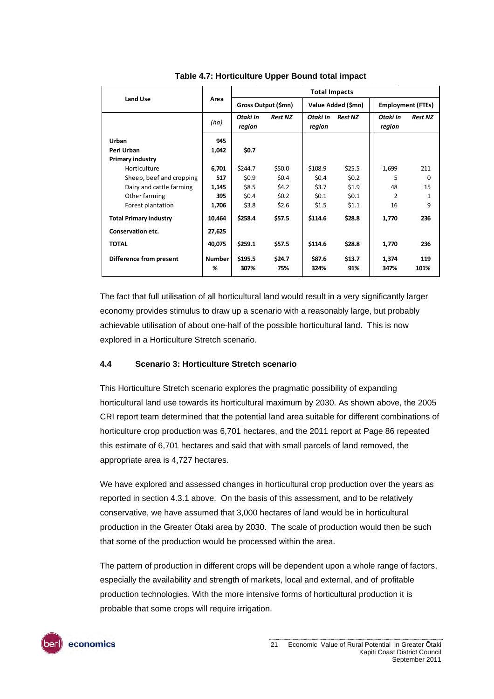<span id="page-20-1"></span>

|                               |               | <b>Total Impacts</b> |                |                    |                    |                    |                          |  |
|-------------------------------|---------------|----------------------|----------------|--------------------|--------------------|--------------------|--------------------------|--|
| <b>Land Use</b>               | Area          | Gross Output (\$mn)  |                |                    | Value Added (\$mn) |                    | <b>Employment (FTEs)</b> |  |
|                               | (ha)          | Otaki In<br>region   | <b>Rest NZ</b> | Otaki In<br>region | <b>Rest NZ</b>     | Otaki In<br>region | <b>Rest NZ</b>           |  |
| Urban                         | 945           |                      |                |                    |                    |                    |                          |  |
| Peri Urban                    | 1,042         | \$0.7                |                |                    |                    |                    |                          |  |
| <b>Primary industry</b>       |               |                      |                |                    |                    |                    |                          |  |
| Horticulture                  | 6,701         | \$244.7              | \$50.0         | \$108.9            | \$25.5             | 1,699              | 211                      |  |
| Sheep, beef and cropping      | 517           | \$0.9                | \$0.4\$        | \$0.4\$            | \$0.2\$            | 5                  | $\Omega$                 |  |
| Dairy and cattle farming      | 1,145         | \$8.5                | \$4.2          | \$3.7              | \$1.9              | 48                 | 15                       |  |
| Other farming                 | 395           | \$0.4\$              | \$0.2\$        | \$0.1              | \$0.1              | 2                  | 1                        |  |
| Forest plantation             | 1,706         | \$3.8                | \$2.6          | \$1.5              | \$1.1              | 16                 | 9                        |  |
| <b>Total Primary industry</b> | 10,464        | \$258.4              | \$57.5         | \$114.6            | \$28.8             | 1,770              | 236                      |  |
| <b>Conservation etc.</b>      | 27,625        |                      |                |                    |                    |                    |                          |  |
| <b>TOTAL</b>                  | 40,075        | \$259.1              | \$57.5         | \$114.6            | \$28.8             | 1,770              | 236                      |  |
| Difference from present       | <b>Number</b> | \$195.5              | \$24.7         | \$87.6             | \$13.7             | 1,374              | 119                      |  |
|                               | %             | 307%                 | 75%            | 324%               | 91%                | 347%               | 101%                     |  |

**Table 4.7: Horticulture Upper Bound total impact** 

The fact that full utilisation of all horticultural land would result in a very significantly larger economy provides stimulus to draw up a scenario with a reasonably large, but probably achievable utilisation of about one-half of the possible horticultural land. This is now explored in a Horticulture Stretch scenario.

#### <span id="page-20-0"></span>**4.4 Scenario 3: Horticulture Stretch scenario**

This Horticulture Stretch scenario explores the pragmatic possibility of expanding horticultural land use towards its horticultural maximum by 2030. As shown above, the 2005 CRI report team determined that the potential land area suitable for different combinations of horticulture crop production was 6,701 hectares, and the 2011 report at Page 86 repeated this estimate of 6,701 hectares and said that with small parcels of land removed, the appropriate area is 4,727 hectares.

We have explored and assessed changes in horticultural crop production over the years as reported in section 4.3.1 above. On the basis of this assessment, and to be relatively conservative, we have assumed that 3,000 hectares of land would be in horticultural production in the Greater Ōtaki area by 2030. The scale of production would then be such that some of the production would be processed within the area.

The pattern of production in different crops will be dependent upon a whole range of factors, especially the availability and strength of markets, local and external, and of profitable production technologies. With the more intensive forms of horticultural production it is probable that some crops will require irrigation.

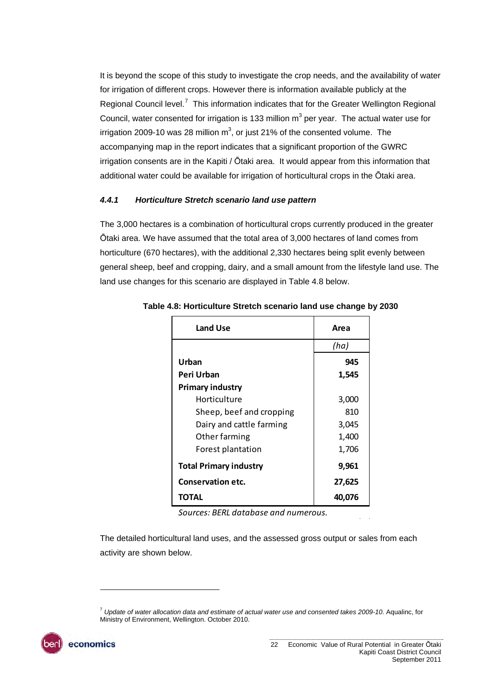It is beyond the scope of this study to investigate the crop needs, and the availability of water for irrigation of different crops. However there is information available publicly at the Regional Council level.<sup>[7](#page-21-1)</sup> This information indicates that for the Greater Wellington Regional Council, water consented for irrigation is 133 million  $m<sup>3</sup>$  per year. The actual water use for irrigation 2009-10 was 28 million m<sup>3</sup>, or just 21% of the consented volume. The accompanying map in the report indicates that a significant proportion of the GWRC irrigation consents are in the Kapiti / Ōtaki area. It would appear from this information that additional water could be available for irrigation of horticultural crops in the Ōtaki area.

#### *4.4.1 Horticulture Stretch scenario land use pattern*

<span id="page-21-0"></span>The 3,000 hectares is a combination of horticultural crops currently produced in the greater Ōtaki area. We have assumed that the total area of 3,000 hectares of land comes from horticulture (670 hectares), with the additional 2,330 hectares being split evenly between general sheep, beef and cropping, dairy, and a small amount from the lifestyle land use. The land use changes for this scenario are displayed in [Table 4.8](#page-21-0) below.

| <b>Land Use</b>               | Area   |
|-------------------------------|--------|
|                               | (ha)   |
| Urban                         | 945    |
| Peri Urban                    | 1,545  |
| <b>Primary industry</b>       |        |
| Horticulture                  | 3,000  |
| Sheep, beef and cropping      | 810    |
| Dairy and cattle farming      | 3,045  |
| Other farming                 | 1,400  |
| Forest plantation             | 1,706  |
| <b>Total Primary industry</b> | 9,961  |
| <b>Conservation etc.</b>      | 27,625 |
| TOTAL                         | 40,076 |

**Table 4.8: Horticulture Stretch scenario land use change by 2030** 

*Sources: BERL database and numerous.*

The detailed horticultural land uses, and the assessed gross output or sales from each activity are shown below.

<span id="page-21-1"></span><sup>7</sup> *Update of water allocation data and estimate of actual water use and consented takes 2009-10*. Aqualinc, for Ministry of Environment, Wellington. October 2010.



l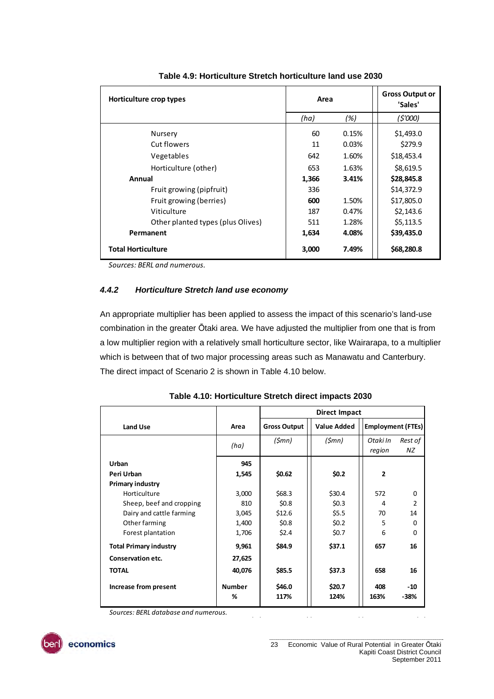<span id="page-22-0"></span>

| Horticulture crop types           | Area  |       | <b>Gross Output or</b><br>'Sales' |
|-----------------------------------|-------|-------|-----------------------------------|
|                                   | (ha)  | (%)   | (5'000)                           |
| Nursery                           | 60    | 0.15% | \$1,493.0                         |
| Cut flowers                       | 11    | 0.03% | \$279.9                           |
| Vegetables                        | 642   | 1.60% | \$18,453.4                        |
| Horticulture (other)              | 653   | 1.63% | \$8,619.5                         |
| Annual                            | 1,366 | 3.41% | \$28,845.8                        |
| Fruit growing (pipfruit)          | 336   |       | \$14,372.9                        |
| Fruit growing (berries)           | 600   | 1.50% | \$17,805.0                        |
| Viticulture                       | 187   | 0.47% | \$2,143.6                         |
| Other planted types (plus Olives) | 511   | 1.28% | \$5,113.5                         |
| Permanent                         | 1,634 | 4.08% | \$39,435.0                        |
| <b>Total Horticulture</b>         | 3,000 | 7.49% | \$68,280.8                        |

#### **Table 4.9: Horticulture Stretch horticulture land use 2030**

*Sources: BERL and numerous.*

#### *4.4.2 Horticulture Stretch land use economy*

An appropriate multiplier has been applied to assess the impact of this scenario's land-use combination in the greater Ōtaki area. We have adjusted the multiplier from one that is from a low multiplier region with a relatively small horticulture sector, like Wairarapa, to a multiplier which is between that of two major processing areas such as Manawatu and Canterbury. The direct impact of Scenario 2 is shown in [Table 4.10](#page-22-1) below.

<span id="page-22-1"></span>

|                               |               | Direct Impact       |                    |                          |               |  |
|-------------------------------|---------------|---------------------|--------------------|--------------------------|---------------|--|
| <b>Land Use</b>               | Area          | <b>Gross Output</b> | <b>Value Added</b> | <b>Employment (FTEs)</b> |               |  |
|                               | (ha)          | $(\textsf{5}mn)$    | (\$mn)             | Otaki In<br>region       | Rest of<br>ΝZ |  |
| Urban                         | 945           |                     |                    |                          |               |  |
| Peri Urban                    | 1,545         | \$0.62              | \$0.2\$            | $\overline{2}$           |               |  |
| Primary industry              |               |                     |                    |                          |               |  |
| Horticulture                  | 3,000         | \$68.3              | \$30.4\$           | 572                      | $\Omega$      |  |
| Sheep, beef and cropping      | 810           | \$0.8\$             | \$0.3\$            | 4                        | 2             |  |
| Dairy and cattle farming      | 3,045         | \$12.6              | \$5.5              | 70                       | 14            |  |
| Other farming                 | 1,400         | \$0.8\$             | \$0.2\$            | 5                        | $\Omega$      |  |
| Forest plantation             | 1,706         | \$2.4\$             | \$0.7              | 6                        | $\Omega$      |  |
| <b>Total Primary industry</b> | 9,961         | \$84.9              | \$37.1             | 657                      | 16            |  |
| Conservation etc.             | 27,625        |                     |                    |                          |               |  |
| <b>TOTAL</b>                  | 40,076        | \$85.5              | \$37.3             | 658                      | 16            |  |
| Increase from present         | <b>Number</b> | \$46.0              | \$20.7             | 408                      | $-10$         |  |
|                               | %             | 117%                | 124%               | 163%                     | -38%          |  |

#### **Table 4.10: Horticulture Stretch direct impacts 2030**

*Sources: BERL database and numerous.*

economics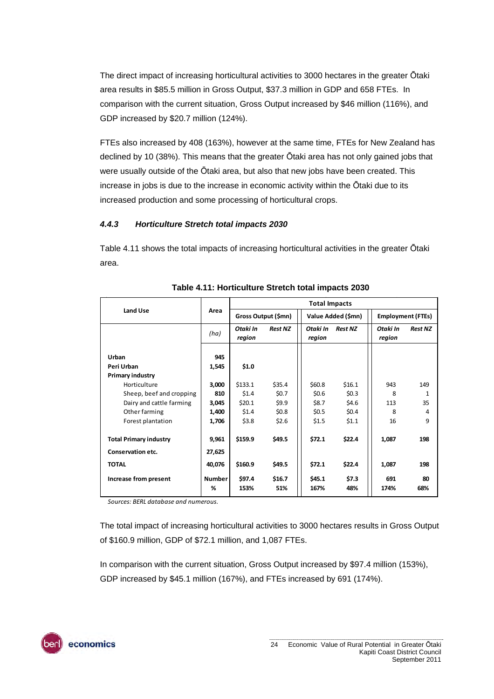The direct impact of increasing horticultural activities to 3000 hectares in the greater Ōtaki area results in \$85.5 million in Gross Output, \$37.3 million in GDP and 658 FTEs. In comparison with the current situation, Gross Output increased by \$46 million (116%), and GDP increased by \$20.7 million (124%).

FTEs also increased by 408 (163%), however at the same time, FTEs for New Zealand has declined by 10 (38%). This means that the greater Ōtaki area has not only gained jobs that were usually outside of the Ōtaki area, but also that new jobs have been created. This increase in jobs is due to the increase in economic activity within the Ōtaki due to its increased production and some processing of horticultural crops.

#### *4.4.3 Horticulture Stretch total impacts 2030*

[Table 4.11](#page-23-0) shows the total impacts of increasing horticultural activities in the greater Ōtaki area.

<span id="page-23-0"></span>

|                               |                    | <b>Total Impacts</b> |                |                    |                    |                    |                          |  |
|-------------------------------|--------------------|----------------------|----------------|--------------------|--------------------|--------------------|--------------------------|--|
| <b>Land Use</b>               | Area               | Gross Output (\$mn)  |                |                    | Value Added (\$mn) |                    | <b>Employment (FTEs)</b> |  |
|                               | (ha)               | Otaki In<br>region   | <b>Rest NZ</b> | Otaki In<br>region | <b>Rest NZ</b>     | Otaki In<br>region | <b>Rest NZ</b>           |  |
| Urban<br>Peri Urban           | 945<br>1,545       | \$1.0                |                |                    |                    |                    |                          |  |
| <b>Primary industry</b>       |                    |                      |                |                    |                    |                    |                          |  |
| Horticulture                  | 3,000              | \$133.1              | \$35.4         | \$60.8             | \$16.1             | 943                | 149                      |  |
| Sheep, beef and cropping      | 810                | \$1.4\$              | \$0.7          | \$0.6\$            | \$0.3\$            | 8                  | $\mathbf{1}$             |  |
| Dairy and cattle farming      | 3,045              | \$20.1               | \$9.9          | \$8.7              | \$4.6              | 113                | 35                       |  |
| Other farming                 | 1,400              | \$1.4                | \$0.8\$        | \$0.5              | \$0.4\$            | 8                  | 4                        |  |
| Forest plantation             | 1,706              | \$3.8                | \$2.6          | \$1.5              | \$1.1              | 16                 | 9                        |  |
| <b>Total Primary industry</b> | 9,961              | \$159.9              | \$49.5         | \$72.1             | \$22.4             | 1,087              | 198                      |  |
| Conservation etc.             | 27,625             |                      |                |                    |                    |                    |                          |  |
| <b>TOTAL</b>                  | 40,076             | \$160.9              | \$49.5         | \$72.1             | \$22.4             | 1,087              | 198                      |  |
| Increase from present         | <b>Number</b><br>℅ | \$97.4<br>153%       | \$16.7<br>51%  | \$45.1<br>167%     | \$7.3<br>48%       | 691<br>174%        | 80<br>68%                |  |

#### **Table 4.11: Horticulture Stretch total impacts 2030**

*Sources: BERL database and numerous.*

The total impact of increasing horticultural activities to 3000 hectares results in Gross Output of \$160.9 million, GDP of \$72.1 million, and 1,087 FTEs.

In comparison with the current situation, Gross Output increased by \$97.4 million (153%), GDP increased by \$45.1 million (167%), and FTEs increased by 691 (174%).

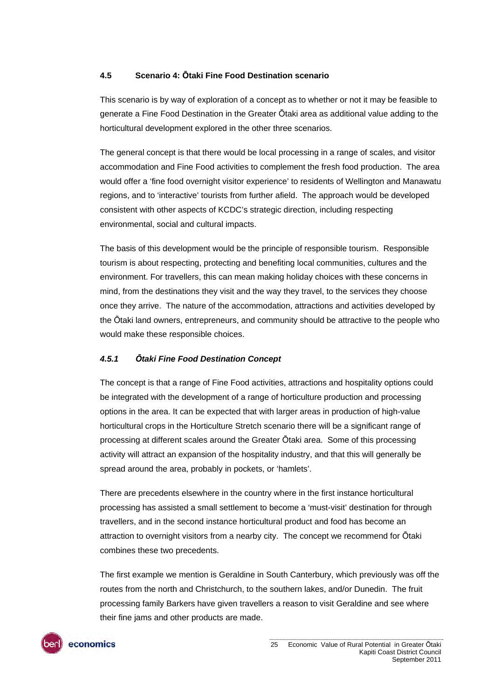#### <span id="page-24-0"></span>**4.5 Scenario 4: Ōtaki Fine Food Destination scenario**

This scenario is by way of exploration of a concept as to whether or not it may be feasible to generate a Fine Food Destination in the Greater Ōtaki area as additional value adding to the horticultural development explored in the other three scenarios.

The general concept is that there would be local processing in a range of scales, and visitor accommodation and Fine Food activities to complement the fresh food production. The area would offer a 'fine food overnight visitor experience' to residents of Wellington and Manawatu regions, and to 'interactive' tourists from further afield. The approach would be developed consistent with other aspects of KCDC's strategic direction, including respecting environmental, social and cultural impacts.

The basis of this development would be the principle of responsible tourism. Responsible tourism is about respecting, protecting and benefiting local communities, cultures and the environment. For travellers, this can mean making holiday choices with these concerns in mind, from the destinations they visit and the way they travel, to the services they choose once they arrive. The nature of the accommodation, attractions and activities developed by the Ōtaki land owners, entrepreneurs, and community should be attractive to the people who would make these responsible choices.

#### *4.5.1 Ōtaki Fine Food Destination Concept*

The concept is that a range of Fine Food activities, attractions and hospitality options could be integrated with the development of a range of horticulture production and processing options in the area. It can be expected that with larger areas in production of high-value horticultural crops in the Horticulture Stretch scenario there will be a significant range of processing at different scales around the Greater Ōtaki area. Some of this processing activity will attract an expansion of the hospitality industry, and that this will generally be spread around the area, probably in pockets, or 'hamlets'.

There are precedents elsewhere in the country where in the first instance horticultural processing has assisted a small settlement to become a 'must-visit' destination for through travellers, and in the second instance horticultural product and food has become an attraction to overnight visitors from a nearby city. The concept we recommend for Ōtaki combines these two precedents.

The first example we mention is Geraldine in South Canterbury, which previously was off the routes from the north and Christchurch, to the southern lakes, and/or Dunedin. The fruit processing family Barkers have given travellers a reason to visit Geraldine and see where their fine jams and other products are made.

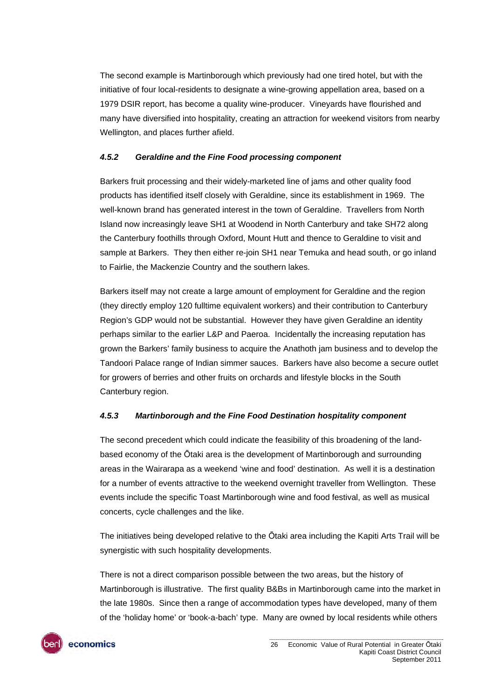The second example is Martinborough which previously had one tired hotel, but with the initiative of four local-residents to designate a wine-growing appellation area, based on a 1979 DSIR report, has become a quality wine-producer. Vineyards have flourished and many have diversified into hospitality, creating an attraction for weekend visitors from nearby Wellington, and places further afield.

#### *4.5.2 Geraldine and the Fine Food processing component*

Barkers fruit processing and their widely-marketed line of jams and other quality food products has identified itself closely with Geraldine, since its establishment in 1969. The well-known brand has generated interest in the town of Geraldine. Travellers from North Island now increasingly leave SH1 at Woodend in North Canterbury and take SH72 along the Canterbury foothills through Oxford, Mount Hutt and thence to Geraldine to visit and sample at Barkers. They then either re-join SH1 near Temuka and head south, or go inland to Fairlie, the Mackenzie Country and the southern lakes.

Barkers itself may not create a large amount of employment for Geraldine and the region (they directly employ 120 fulltime equivalent workers) and their contribution to Canterbury Region's GDP would not be substantial. However they have given Geraldine an identity perhaps similar to the earlier L&P and Paeroa. Incidentally the increasing reputation has grown the Barkers' family business to acquire the Anathoth jam business and to develop the Tandoori Palace range of Indian simmer sauces. Barkers have also become a secure outlet for growers of berries and other fruits on orchards and lifestyle blocks in the South Canterbury region.

#### *4.5.3 Martinborough and the Fine Food Destination hospitality component*

The second precedent which could indicate the feasibility of this broadening of the landbased economy of the Ōtaki area is the development of Martinborough and surrounding areas in the Wairarapa as a weekend 'wine and food' destination. As well it is a destination for a number of events attractive to the weekend overnight traveller from Wellington. These events include the specific Toast Martinborough wine and food festival, as well as musical concerts, cycle challenges and the like.

The initiatives being developed relative to the Ōtaki area including the Kapiti Arts Trail will be synergistic with such hospitality developments.

There is not a direct comparison possible between the two areas, but the history of Martinborough is illustrative. The first quality B&Bs in Martinborough came into the market in the late 1980s. Since then a range of accommodation types have developed, many of them of the 'holiday home' or 'book-a-bach' type. Many are owned by local residents while others

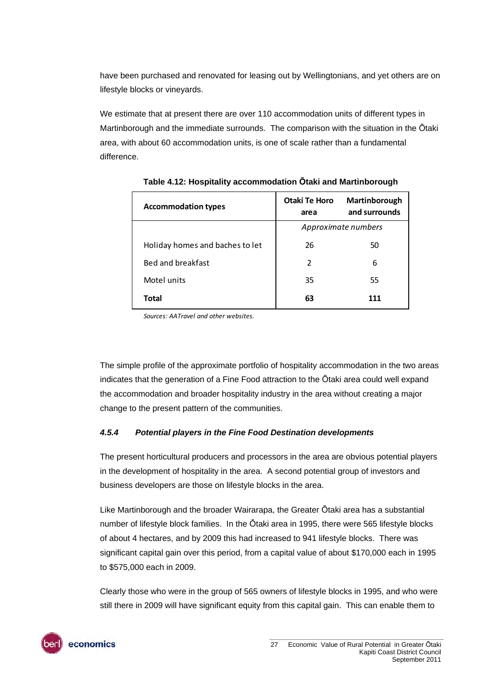have been purchased and renovated for leasing out by Wellingtonians, and yet others are on lifestyle blocks or vineyards.

<span id="page-26-0"></span>We estimate that at present there are over 110 accommodation units of different types in Martinborough and the immediate surrounds. The comparison with the situation in the Ōtaki area, with about 60 accommodation units, is one of scale rather than a fundamental difference.

| <b>Accommodation types</b>      | Otaki Te Horo<br>area | Martinborough<br>and surrounds |  |
|---------------------------------|-----------------------|--------------------------------|--|
|                                 | Approximate numbers   |                                |  |
| Holiday homes and baches to let | 26                    | 50                             |  |
| Bed and breakfast               | 2                     | 6                              |  |
| Motel units                     | 35                    | 55                             |  |
| Total                           | 63                    | 111                            |  |

**Table 4.12: Hospitality accommodation Ōtaki and Martinborough** 

*Sources: AATravel and other websites.*

The simple profile of the approximate portfolio of hospitality accommodation in the two areas indicates that the generation of a Fine Food attraction to the Ōtaki area could well expand the accommodation and broader hospitality industry in the area without creating a major change to the present pattern of the communities.

#### *4.5.4 Potential players in the Fine Food Destination developments*

The present horticultural producers and processors in the area are obvious potential players in the development of hospitality in the area. A second potential group of investors and business developers are those on lifestyle blocks in the area.

Like Martinborough and the broader Wairarapa, the Greater Ōtaki area has a substantial number of lifestyle block families. In the Ōtaki area in 1995, there were 565 lifestyle blocks of about 4 hectares, and by 2009 this had increased to 941 lifestyle blocks. There was significant capital gain over this period, from a capital value of about \$170,000 each in 1995 to \$575,000 each in 2009.

Clearly those who were in the group of 565 owners of lifestyle blocks in 1995, and who were still there in 2009 will have significant equity from this capital gain. This can enable them to

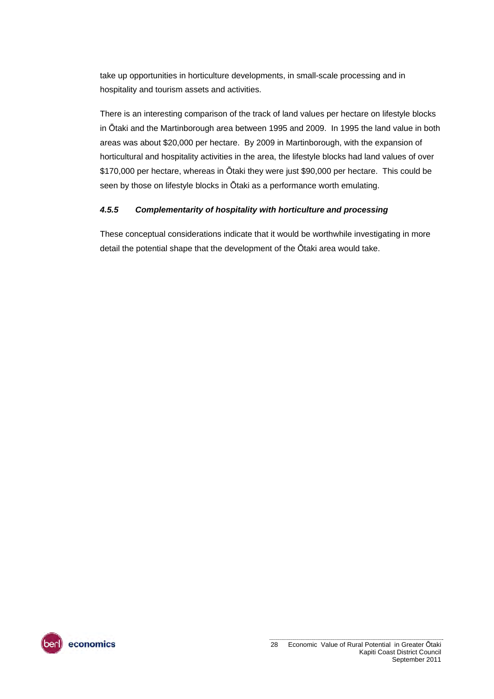take up opportunities in horticulture developments, in small-scale processing and in hospitality and tourism assets and activities.

There is an interesting comparison of the track of land values per hectare on lifestyle blocks in Ōtaki and the Martinborough area between 1995 and 2009. In 1995 the land value in both areas was about \$20,000 per hectare. By 2009 in Martinborough, with the expansion of horticultural and hospitality activities in the area, the lifestyle blocks had land values of over \$170,000 per hectare, whereas in Ōtaki they were just \$90,000 per hectare. This could be seen by those on lifestyle blocks in Ōtaki as a performance worth emulating.

#### *4.5.5 Complementarity of hospitality with horticulture and processing*

These conceptual considerations indicate that it would be worthwhile investigating in more detail the potential shape that the development of the Ōtaki area would take.

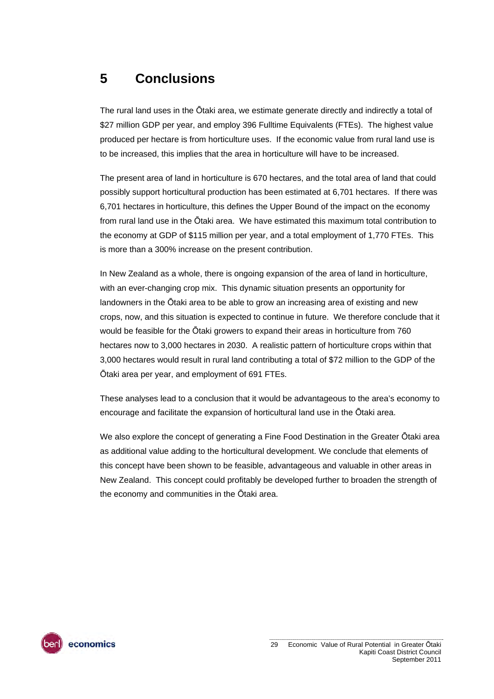### <span id="page-28-0"></span>**5 Conclusions**

The rural land uses in the Ōtaki area, we estimate generate directly and indirectly a total of \$27 million GDP per year, and employ 396 Fulltime Equivalents (FTEs). The highest value produced per hectare is from horticulture uses. If the economic value from rural land use is to be increased, this implies that the area in horticulture will have to be increased.

The present area of land in horticulture is 670 hectares, and the total area of land that could possibly support horticultural production has been estimated at 6,701 hectares. If there was 6,701 hectares in horticulture, this defines the Upper Bound of the impact on the economy from rural land use in the Ōtaki area. We have estimated this maximum total contribution to the economy at GDP of \$115 million per year, and a total employment of 1,770 FTEs. This is more than a 300% increase on the present contribution.

In New Zealand as a whole, there is ongoing expansion of the area of land in horticulture, with an ever-changing crop mix. This dynamic situation presents an opportunity for landowners in the Ōtaki area to be able to grow an increasing area of existing and new crops, now, and this situation is expected to continue in future. We therefore conclude that it would be feasible for the Ōtaki growers to expand their areas in horticulture from 760 hectares now to 3,000 hectares in 2030. A realistic pattern of horticulture crops within that 3,000 hectares would result in rural land contributing a total of \$72 million to the GDP of the Ōtaki area per year, and employment of 691 FTEs.

These analyses lead to a conclusion that it would be advantageous to the area's economy to encourage and facilitate the expansion of horticultural land use in the Ōtaki area.

We also explore the concept of generating a Fine Food Destination in the Greater Ōtaki area as additional value adding to the horticultural development. We conclude that elements of this concept have been shown to be feasible, advantageous and valuable in other areas in New Zealand. This concept could profitably be developed further to broaden the strength of the economy and communities in the Ōtaki area.

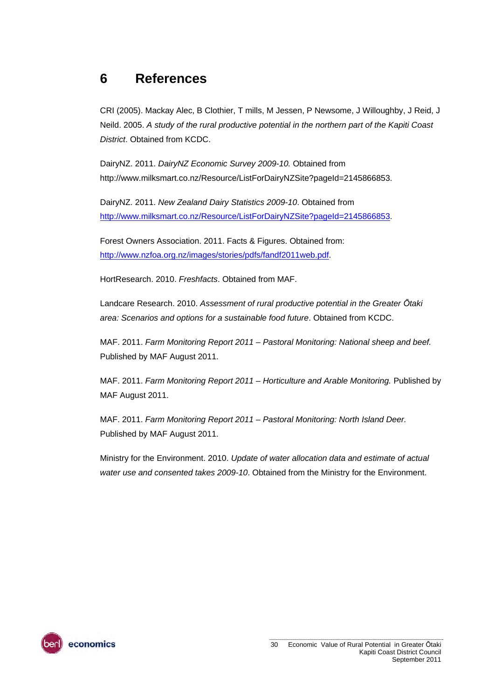### <span id="page-29-0"></span>**6 References**

CRI (2005). Mackay Alec, B Clothier, T mills, M Jessen, P Newsome, J Willoughby, J Reid, J Neild. 2005. *A study of the rural productive potential in the northern part of the Kapiti Coast District*. Obtained from KCDC.

DairyNZ. 2011. *DairyNZ Economic Survey 2009-10.* Obtained from http://www.milksmart.co.nz/Resource/ListForDairyNZSite?pageId=2145866853.

DairyNZ. 2011. *New Zealand Dairy Statistics 2009-10*. Obtained from [http://www.milksmart.co.nz/Resource/ListForDairyNZSite?pageId=2145866853.](http://www.milksmart.co.nz/Resource/ListForDairyNZSite?pageId=2145866853)

Forest Owners Association. 2011. Facts & Figures. Obtained from: <http://www.nzfoa.org.nz/images/stories/pdfs/fandf2011web.pdf>.

HortResearch. 2010. *Freshfacts*. Obtained from MAF.

Landcare Research. 2010. *Assessment of rural productive potential in the Greater Ōtaki area: Scenarios and options for a sustainable food future*. Obtained from KCDC.

MAF. 2011. *Farm Monitoring Report 2011 – Pastoral Monitoring: National sheep and beef.* Published by MAF August 2011.

MAF. 2011. *Farm Monitoring Report 2011 – Horticulture and Arable Monitoring.* Published by MAF August 2011.

MAF. 2011. *Farm Monitoring Report 2011 – Pastoral Monitoring: North Island Deer.* Published by MAF August 2011.

Ministry for the Environment. 2010. *Update of water allocation data and estimate of actual water use and consented takes 2009-10*. Obtained from the Ministry for the Environment.

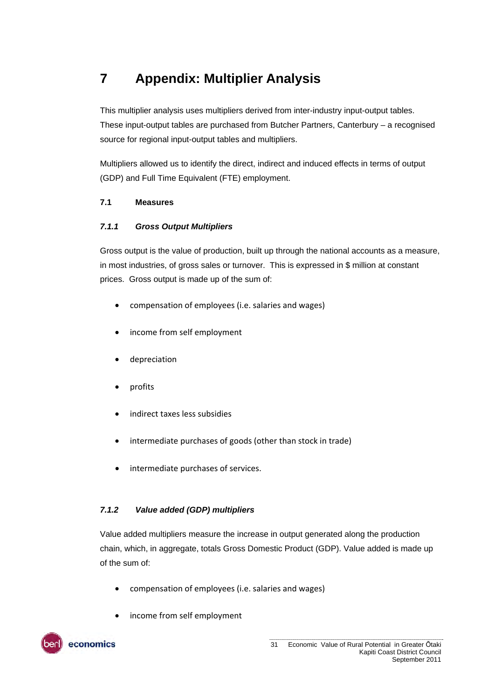### <span id="page-30-0"></span>**7 Appendix: Multiplier Analysis**

This multiplier analysis uses multipliers derived from inter-industry input-output tables. These input-output tables are purchased from Butcher Partners, Canterbury – a recognised source for regional input-output tables and multipliers.

Multipliers allowed us to identify the direct, indirect and induced effects in terms of output (GDP) and Full Time Equivalent (FTE) employment.

#### <span id="page-30-1"></span>**7.1 Measures**

#### *7.1.1 Gross Output Multipliers*

Gross output is the value of production, built up through the national accounts as a measure, in most industries, of gross sales or turnover. This is expressed in \$ million at constant prices. Gross output is made up of the sum of:

- compensation of employees (i.e. salaries and wages)
- income from self employment
- depreciation
- profits
- indirect taxes less subsidies
- intermediate purchases of goods (other than stock in trade)
- intermediate purchases of services.

#### *7.1.2 Value added (GDP) multipliers*

Value added multipliers measure the increase in output generated along the production chain, which, in aggregate, totals Gross Domestic Product (GDP). Value added is made up of the sum of:

- compensation of employees (i.e. salaries and wages)
- income from self employment

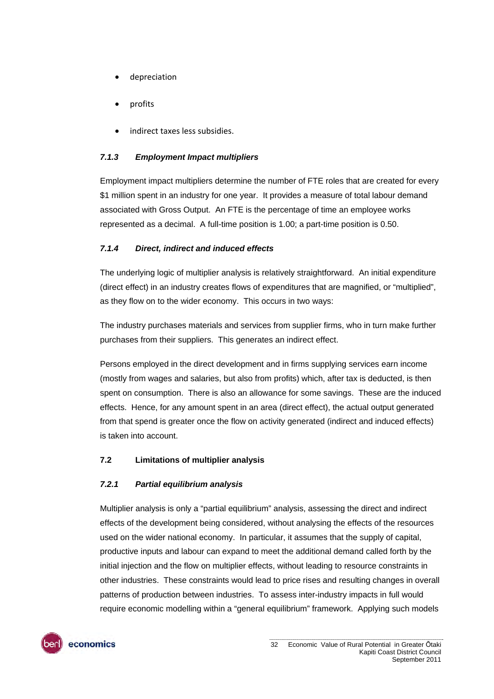- depreciation
- profits
- indirect taxes less subsidies.

#### *7.1.3 Employment Impact multipliers*

Employment impact multipliers determine the number of FTE roles that are created for every \$1 million spent in an industry for one year. It provides a measure of total labour demand associated with Gross Output. An FTE is the percentage of time an employee works represented as a decimal. A full-time position is 1.00; a part-time position is 0.50.

#### *7.1.4 Direct, indirect and induced effects*

The underlying logic of multiplier analysis is relatively straightforward. An initial expenditure (direct effect) in an industry creates flows of expenditures that are magnified, or "multiplied", as they flow on to the wider economy. This occurs in two ways:

The industry purchases materials and services from supplier firms, who in turn make further purchases from their suppliers. This generates an indirect effect.

Persons employed in the direct development and in firms supplying services earn income (mostly from wages and salaries, but also from profits) which, after tax is deducted, is then spent on consumption. There is also an allowance for some savings. These are the induced effects. Hence, for any amount spent in an area (direct effect), the actual output generated from that spend is greater once the flow on activity generated (indirect and induced effects) is taken into account.

#### <span id="page-31-0"></span>**7.2 Limitations of multiplier analysis**

#### *7.2.1 Partial equilibrium analysis*

Multiplier analysis is only a "partial equilibrium" analysis, assessing the direct and indirect effects of the development being considered, without analysing the effects of the resources used on the wider national economy. In particular, it assumes that the supply of capital, productive inputs and labour can expand to meet the additional demand called forth by the initial injection and the flow on multiplier effects, without leading to resource constraints in other industries. These constraints would lead to price rises and resulting changes in overall patterns of production between industries. To assess inter-industry impacts in full would require economic modelling within a "general equilibrium" framework. Applying such models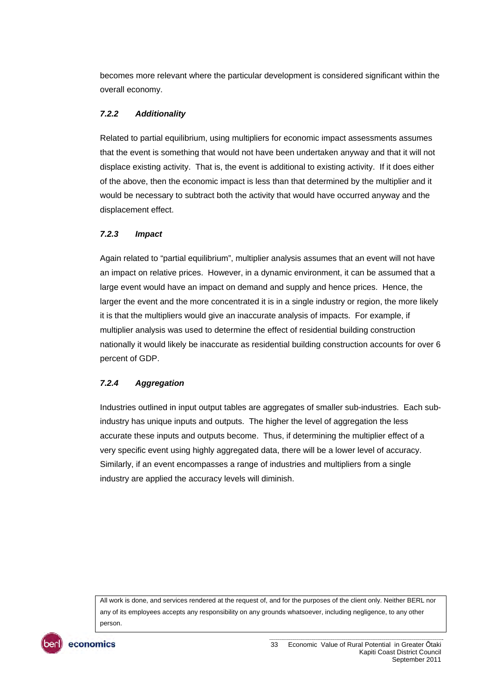becomes more relevant where the particular development is considered significant within the overall economy.

#### *7.2.2 Additionality*

Related to partial equilibrium, using multipliers for economic impact assessments assumes that the event is something that would not have been undertaken anyway and that it will not displace existing activity. That is, the event is additional to existing activity. If it does either of the above, then the economic impact is less than that determined by the multiplier and it would be necessary to subtract both the activity that would have occurred anyway and the displacement effect.

#### *7.2.3 Impact*

Again related to "partial equilibrium", multiplier analysis assumes that an event will not have an impact on relative prices. However, in a dynamic environment, it can be assumed that a large event would have an impact on demand and supply and hence prices. Hence, the larger the event and the more concentrated it is in a single industry or region, the more likely it is that the multipliers would give an inaccurate analysis of impacts. For example, if multiplier analysis was used to determine the effect of residential building construction nationally it would likely be inaccurate as residential building construction accounts for over 6 percent of GDP.

#### *7.2.4 Aggregation*

Industries outlined in input output tables are aggregates of smaller sub-industries. Each subindustry has unique inputs and outputs. The higher the level of aggregation the less accurate these inputs and outputs become. Thus, if determining the multiplier effect of a very specific event using highly aggregated data, there will be a lower level of accuracy. Similarly, if an event encompasses a range of industries and multipliers from a single industry are applied the accuracy levels will diminish.

All work is done, and services rendered at the request of, and for the purposes of the client only. Neither BERL nor any of its employees accepts any responsibility on any grounds whatsoever, including negligence, to any other person.